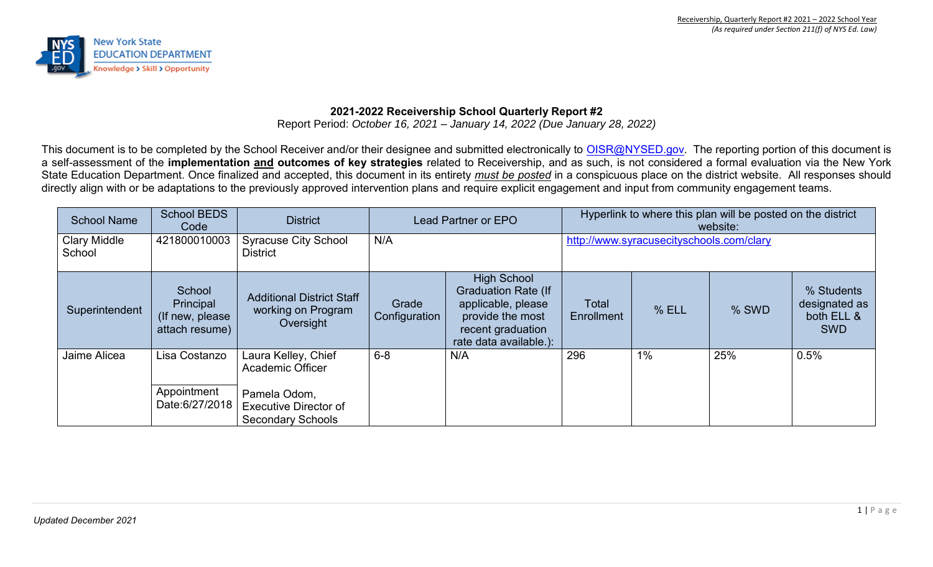

## **2021-2022 Receivership School Quarterly Report #2**

Report Period: *October 16, 2021 – January 14, 2022 (Due January 28, 2022)*

This document is to be completed by the School Receiver and/or their designee and submitted electronically to [OISR@NYSED.gov.](mailto:OISR@NYSED.gov) The reporting portion of this document is a self-assessment of the **implementation and outcomes of key strategies** related to Receivership, and as such, is not considered a formal evaluation via the New York State Education Department. Once finalized and accepted, this document in its entirety *must be posted* in a conspicuous place on the district website. All responses should directly align with or be adaptations to the previously approved intervention plans and require explicit engagement and input from community engagement teams.

| <b>School Name</b>            | <b>School BEDS</b><br>Code                                | <b>District</b>                                                                                                     | Lead Partner or EPO    |                                                                                                                                           | Hyperlink to where this plan will be posted on the district<br>website: |       |       |                                                         |
|-------------------------------|-----------------------------------------------------------|---------------------------------------------------------------------------------------------------------------------|------------------------|-------------------------------------------------------------------------------------------------------------------------------------------|-------------------------------------------------------------------------|-------|-------|---------------------------------------------------------|
| <b>Clary Middle</b><br>School | 421800010003                                              | <b>Syracuse City School</b><br><b>District</b>                                                                      | N/A                    |                                                                                                                                           | http://www.syracusecityschools.com/clary                                |       |       |                                                         |
| Superintendent                | School<br>Principal<br>(If new, please)<br>attach resume) | <b>Additional District Staff</b><br>working on Program<br>Oversight                                                 | Grade<br>Configuration | <b>High School</b><br><b>Graduation Rate (If</b><br>applicable, please<br>provide the most<br>recent graduation<br>rate data available.): | Total<br>Enrollment                                                     | % ELL | % SWD | % Students<br>designated as<br>both ELL &<br><b>SWD</b> |
| Jaime Alicea                  | Lisa Costanzo<br>Appointment<br>Date:6/27/2018            | Laura Kelley, Chief<br>Academic Officer<br>Pamela Odom,<br><b>Executive Director of</b><br><b>Secondary Schools</b> | $6 - 8$                | N/A                                                                                                                                       | 296                                                                     | $1\%$ | 25%   | 0.5%                                                    |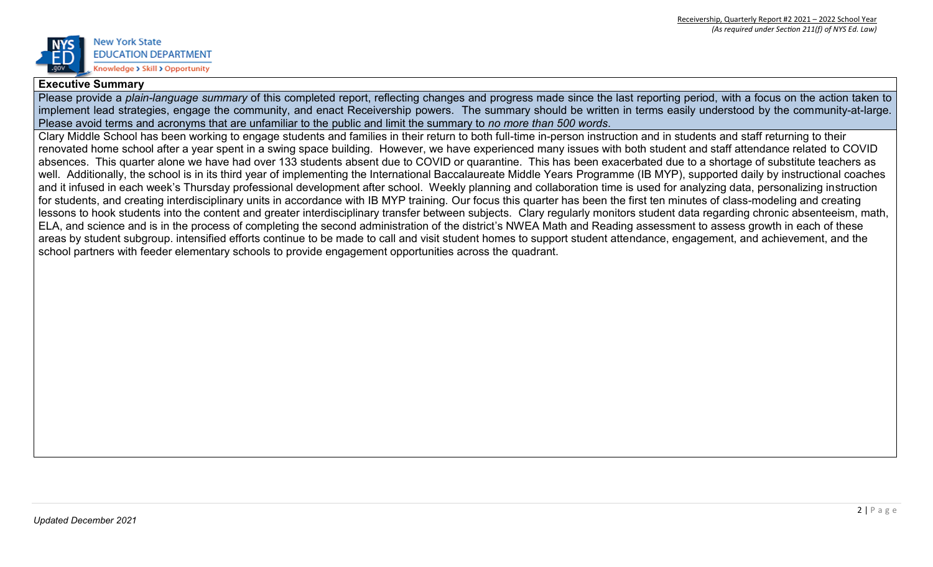

#### **Executive Summary**

Please provide a *plain-language summary* of this completed report, reflecting changes and progress made since the last reporting period, with a focus on the action taken to implement lead strategies, engage the community, and enact Receivership powers. The summary should be written in terms easily understood by the community-at-large. Please avoid terms and acronyms that are unfamiliar to the public and limit the summary to *no more than 500 words*.

Clary Middle School has been working to engage students and families in their return to both full-time in-person instruction and in students and staff returning to their renovated home school after a year spent in a swing space building. However, we have experienced many issues with both student and staff attendance related to COVID absences. This quarter alone we have had over 133 students absent due to COVID or quarantine. This has been exacerbated due to a shortage of substitute teachers as well. Additionally, the school is in its third year of implementing the International Baccalaureate Middle Years Programme (IB MYP), supported daily by instructional coaches and it infused in each week's Thursday professional development after school. Weekly planning and collaboration time is used for analyzing data, personalizing instruction for students, and creating interdisciplinary units in accordance with IB MYP training. Our focus this quarter has been the first ten minutes of class-modeling and creating lessons to hook students into the content and greater interdisciplinary transfer between subjects. Clary regularly monitors student data regarding chronic absenteeism, math, ELA, and science and is in the process of completing the second administration of the district's NWEA Math and Reading assessment to assess growth in each of these areas by student subgroup. intensified efforts continue to be made to call and visit student homes to support student attendance, engagement, and achievement, and the school partners with feeder elementary schools to provide engagement opportunities across the quadrant.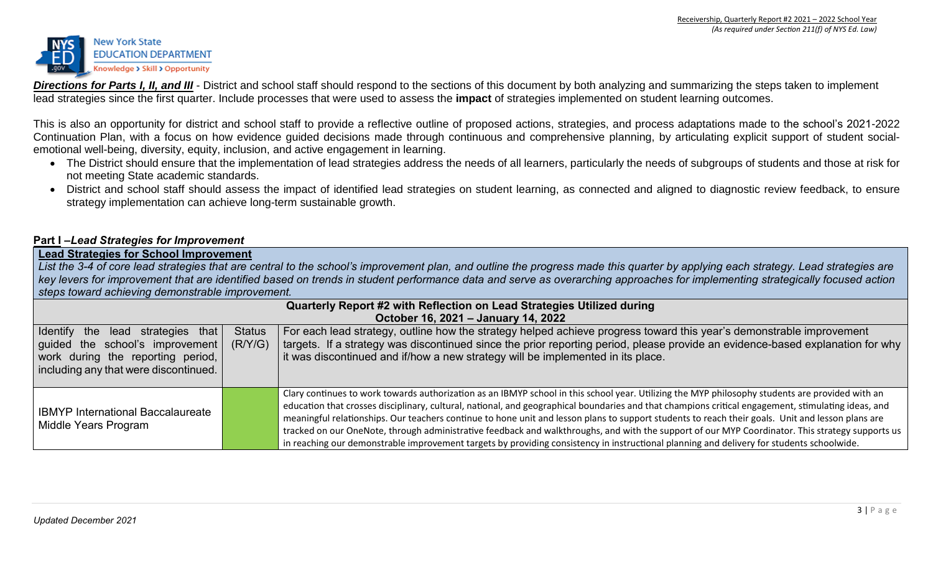

**Directions for Parts I, II, and III** - District and school staff should respond to the sections of this document by both analyzing and summarizing the steps taken to implement lead strategies since the first quarter. Include processes that were used to assess the **impact** of strategies implemented on student learning outcomes.

This is also an opportunity for district and school staff to provide a reflective outline of proposed actions, strategies, and process adaptations made to the school's 2021-2022 Continuation Plan, with a focus on how evidence guided decisions made through continuous and comprehensive planning, by articulating explicit support of student socialemotional well-being, diversity, equity, inclusion, and active engagement in learning.

- The District should ensure that the implementation of lead strategies address the needs of all learners, particularly the needs of subgroups of students and those at risk for not meeting State academic standards.
- District and school staff should assess the impact of identified lead strategies on student learning, as connected and aligned to diagnostic review feedback, to ensure strategy implementation can achieve long-term sustainable growth.

#### **Part I –***Lead Strategies for Improvement*

#### **Lead Strategies for School Improvement**

*List the 3-4 of core lead strategies that are central to the school's improvement plan, and outline the progress made this quarter by applying each strategy. Lead strategies are key levers for improvement that are identified based on trends in student performance data and serve as overarching approaches for implementing strategically focused action steps toward achieving demonstrable improvement.*

| Quarterly Report #2 with Reflection on Lead Strategies Utilized during                                                                               |                          |                                                                                                                                                                                                                                                                                                                                                                                                                                                                                                                                                                                                                                                                                                                                                               |  |  |
|------------------------------------------------------------------------------------------------------------------------------------------------------|--------------------------|---------------------------------------------------------------------------------------------------------------------------------------------------------------------------------------------------------------------------------------------------------------------------------------------------------------------------------------------------------------------------------------------------------------------------------------------------------------------------------------------------------------------------------------------------------------------------------------------------------------------------------------------------------------------------------------------------------------------------------------------------------------|--|--|
|                                                                                                                                                      |                          | October 16, 2021 - January 14, 2022                                                                                                                                                                                                                                                                                                                                                                                                                                                                                                                                                                                                                                                                                                                           |  |  |
| I Identify the lead strategies that<br>guided the school's improvement<br>work during the reporting period,<br>including any that were discontinued. | <b>Status</b><br>(R/Y/G) | For each lead strategy, outline how the strategy helped achieve progress toward this year's demonstrable improvement<br>targets. If a strategy was discontinued since the prior reporting period, please provide an evidence-based explanation for why<br>it was discontinued and if/how a new strategy will be implemented in its place.                                                                                                                                                                                                                                                                                                                                                                                                                     |  |  |
| <b>IBMYP International Baccalaureate</b><br>Middle Years Program                                                                                     |                          | Clary continues to work towards authorization as an IBMYP school in this school year. Utilizing the MYP philosophy students are provided with an<br>education that crosses disciplinary, cultural, national, and geographical boundaries and that champions critical engagement, stimulating ideas, and<br>meaningful relationships. Our teachers continue to hone unit and lesson plans to support students to reach their goals. Unit and lesson plans are<br>tracked on our OneNote, through administrative feedback and walkthroughs, and with the support of our MYP Coordinator. This strategy supports us<br>in reaching our demonstrable improvement targets by providing consistency in instructional planning and delivery for students schoolwide. |  |  |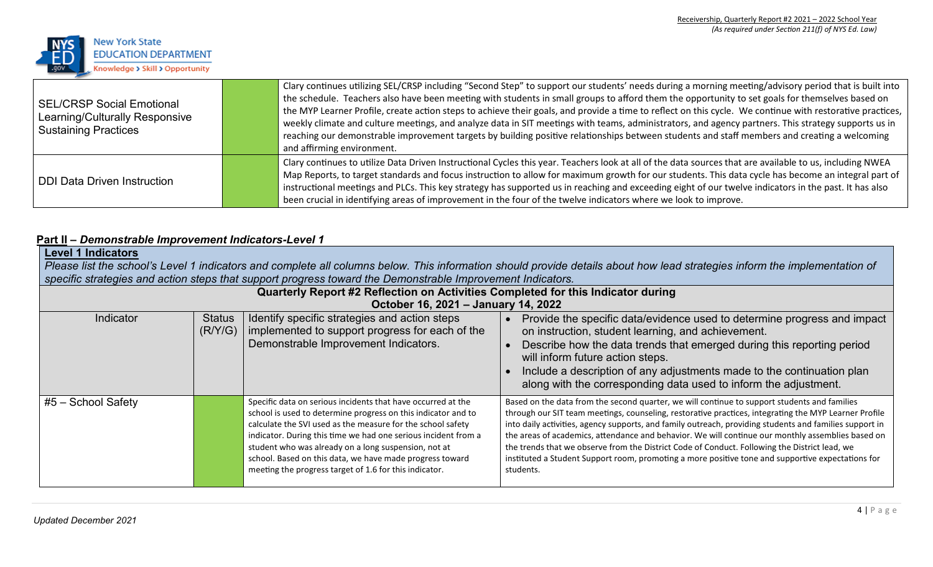

| <b>SEL/CRSP Social Emotional</b><br>Learning/Culturally Responsive<br><b>Sustaining Practices</b> | Clary continues utilizing SEL/CRSP including "Second Step" to support our students' needs during a morning meeting/advisory period that is built into<br>the schedule. Teachers also have been meeting with students in small groups to afford them the opportunity to set goals for themselves based on<br>the MYP Learner Profile, create action steps to achieve their goals, and provide a time to reflect on this cycle. We continue with restorative practices,<br>weekly climate and culture meetings, and analyze data in SIT meetings with teams, administrators, and agency partners. This strategy supports us in<br>reaching our demonstrable improvement targets by building positive relationships between students and staff members and creating a welcoming<br>and affirming environment. |
|---------------------------------------------------------------------------------------------------|------------------------------------------------------------------------------------------------------------------------------------------------------------------------------------------------------------------------------------------------------------------------------------------------------------------------------------------------------------------------------------------------------------------------------------------------------------------------------------------------------------------------------------------------------------------------------------------------------------------------------------------------------------------------------------------------------------------------------------------------------------------------------------------------------------|
| <b>DDI Data Driven Instruction</b>                                                                | Clary continues to utilize Data Driven Instructional Cycles this year. Teachers look at all of the data sources that are available to us, including NWEA<br>Map Reports, to target standards and focus instruction to allow for maximum growth for our students. This data cycle has become an integral part of<br>instructional meetings and PLCs. This key strategy has supported us in reaching and exceeding eight of our twelve indicators in the past. It has also<br>been crucial in identifying areas of improvement in the four of the twelve indicators where we look to improve.                                                                                                                                                                                                                |

# **Part II –** *Demonstrable Improvement Indicators-Level 1*

| <b>Level 1 Indicators</b><br>Please list the school's Level 1 indicators and complete all columns below. This information should provide details about how lead strategies inform the implementation of<br>specific strategies and action steps that support progress toward the Demonstrable Improvement Indicators. |                          |                                                                                                                                                                                                                                                                                                                                                                                                                                              |                                                                                                                                                                                                                                                                                                                                                                                                                                                                                                                                                                                                                                          |  |  |
|-----------------------------------------------------------------------------------------------------------------------------------------------------------------------------------------------------------------------------------------------------------------------------------------------------------------------|--------------------------|----------------------------------------------------------------------------------------------------------------------------------------------------------------------------------------------------------------------------------------------------------------------------------------------------------------------------------------------------------------------------------------------------------------------------------------------|------------------------------------------------------------------------------------------------------------------------------------------------------------------------------------------------------------------------------------------------------------------------------------------------------------------------------------------------------------------------------------------------------------------------------------------------------------------------------------------------------------------------------------------------------------------------------------------------------------------------------------------|--|--|
|                                                                                                                                                                                                                                                                                                                       |                          | Quarterly Report #2 Reflection on Activities Completed for this Indicator during<br>October 16, 2021 - January 14, 2022                                                                                                                                                                                                                                                                                                                      |                                                                                                                                                                                                                                                                                                                                                                                                                                                                                                                                                                                                                                          |  |  |
| Indicator                                                                                                                                                                                                                                                                                                             | <b>Status</b><br>(R/Y/G) | Identify specific strategies and action steps<br>implemented to support progress for each of the<br>Demonstrable Improvement Indicators.                                                                                                                                                                                                                                                                                                     | Provide the specific data/evidence used to determine progress and impact<br>on instruction, student learning, and achievement.<br>Describe how the data trends that emerged during this reporting period<br>will inform future action steps.<br>Include a description of any adjustments made to the continuation plan<br>along with the corresponding data used to inform the adjustment.                                                                                                                                                                                                                                               |  |  |
| $#5 -$ School Safety                                                                                                                                                                                                                                                                                                  |                          | Specific data on serious incidents that have occurred at the<br>school is used to determine progress on this indicator and to<br>calculate the SVI used as the measure for the school safety<br>indicator. During this time we had one serious incident from a<br>student who was already on a long suspension, not at<br>school. Based on this data, we have made progress toward<br>meeting the progress target of 1.6 for this indicator. | Based on the data from the second quarter, we will continue to support students and families<br>through our SIT team meetings, counseling, restorative practices, integrating the MYP Learner Profile<br>into daily activities, agency supports, and family outreach, providing students and families support in<br>the areas of academics, attendance and behavior. We will continue our monthly assemblies based on<br>the trends that we observe from the District Code of Conduct. Following the District lead, we<br>instituted a Student Support room, promoting a more positive tone and supportive expectations for<br>students. |  |  |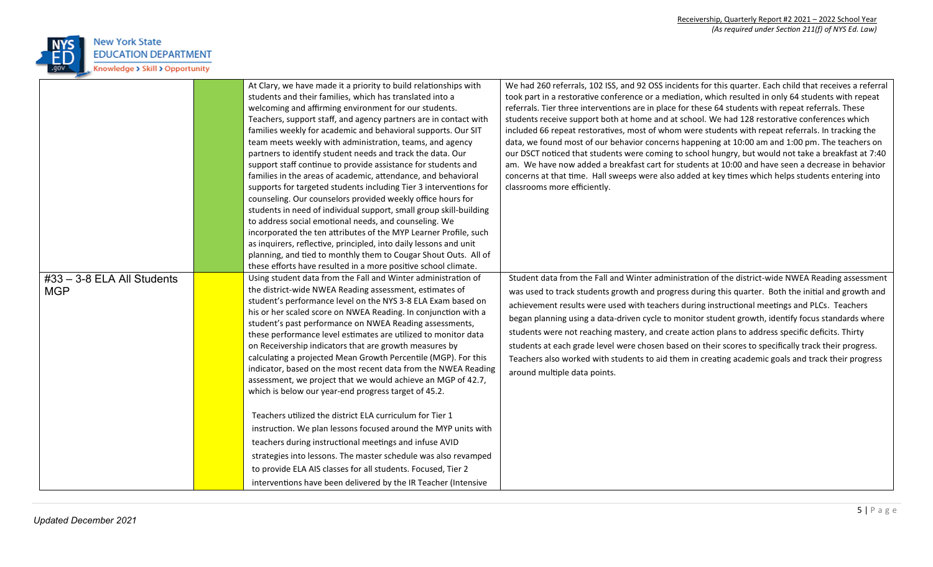

|                                            | At Clary, we have made it a priority to build relationships with<br>students and their families, which has translated into a<br>welcoming and affirming environment for our students.<br>Teachers, support staff, and agency partners are in contact with<br>families weekly for academic and behavioral supports. Our SIT<br>team meets weekly with administration, teams, and agency<br>partners to identify student needs and track the data. Our<br>support staff continue to provide assistance for students and<br>families in the areas of academic, attendance, and behavioral<br>supports for targeted students including Tier 3 interventions for<br>counseling. Our counselors provided weekly office hours for<br>students in need of individual support, small group skill-building<br>to address social emotional needs, and counseling. We<br>incorporated the ten attributes of the MYP Learner Profile, such<br>as inquirers, reflective, principled, into daily lessons and unit<br>planning, and tied to monthly them to Cougar Shout Outs. All of<br>these efforts have resulted in a more positive school climate. | We had 260 referrals, 102 ISS, and 92 OSS incidents for this quarter. Each child that receives a referral<br>took part in a restorative conference or a mediation, which resulted in only 64 students with repeat<br>referrals. Tier three interventions are in place for these 64 students with repeat referrals. These<br>students receive support both at home and at school. We had 128 restorative conferences which<br>included 66 repeat restoratives, most of whom were students with repeat referrals. In tracking the<br>data, we found most of our behavior concerns happening at 10:00 am and 1:00 pm. The teachers on<br>our DSCT noticed that students were coming to school hungry, but would not take a breakfast at 7:40<br>am. We have now added a breakfast cart for students at 10:00 and have seen a decrease in behavior<br>concerns at that time. Hall sweeps were also added at key times which helps students entering into<br>classrooms more efficiently. |
|--------------------------------------------|-----------------------------------------------------------------------------------------------------------------------------------------------------------------------------------------------------------------------------------------------------------------------------------------------------------------------------------------------------------------------------------------------------------------------------------------------------------------------------------------------------------------------------------------------------------------------------------------------------------------------------------------------------------------------------------------------------------------------------------------------------------------------------------------------------------------------------------------------------------------------------------------------------------------------------------------------------------------------------------------------------------------------------------------------------------------------------------------------------------------------------------------|--------------------------------------------------------------------------------------------------------------------------------------------------------------------------------------------------------------------------------------------------------------------------------------------------------------------------------------------------------------------------------------------------------------------------------------------------------------------------------------------------------------------------------------------------------------------------------------------------------------------------------------------------------------------------------------------------------------------------------------------------------------------------------------------------------------------------------------------------------------------------------------------------------------------------------------------------------------------------------------|
| $#33 - 3-8$ ELA All Students<br><b>MGP</b> | Using student data from the Fall and Winter administration of<br>the district-wide NWEA Reading assessment, estimates of<br>student's performance level on the NYS 3-8 ELA Exam based on<br>his or her scaled score on NWEA Reading. In conjunction with a<br>student's past performance on NWEA Reading assessments,<br>these performance level estimates are utilized to monitor data<br>on Receivership indicators that are growth measures by<br>calculating a projected Mean Growth Percentile (MGP). For this<br>indicator, based on the most recent data from the NWEA Reading<br>assessment, we project that we would achieve an MGP of 42.7,<br>which is below our year-end progress target of 45.2.<br>Teachers utilized the district ELA curriculum for Tier 1<br>instruction. We plan lessons focused around the MYP units with<br>teachers during instructional meetings and infuse AVID<br>strategies into lessons. The master schedule was also revamped<br>to provide ELA AIS classes for all students. Focused, Tier 2<br>interventions have been delivered by the IR Teacher (Intensive                               | Student data from the Fall and Winter administration of the district-wide NWEA Reading assessment<br>was used to track students growth and progress during this quarter. Both the initial and growth and<br>achievement results were used with teachers during instructional meetings and PLCs. Teachers<br>began planning using a data-driven cycle to monitor student growth, identify focus standards where<br>students were not reaching mastery, and create action plans to address specific deficits. Thirty<br>students at each grade level were chosen based on their scores to specifically track their progress.<br>Teachers also worked with students to aid them in creating academic goals and track their progress<br>around multiple data points.                                                                                                                                                                                                                     |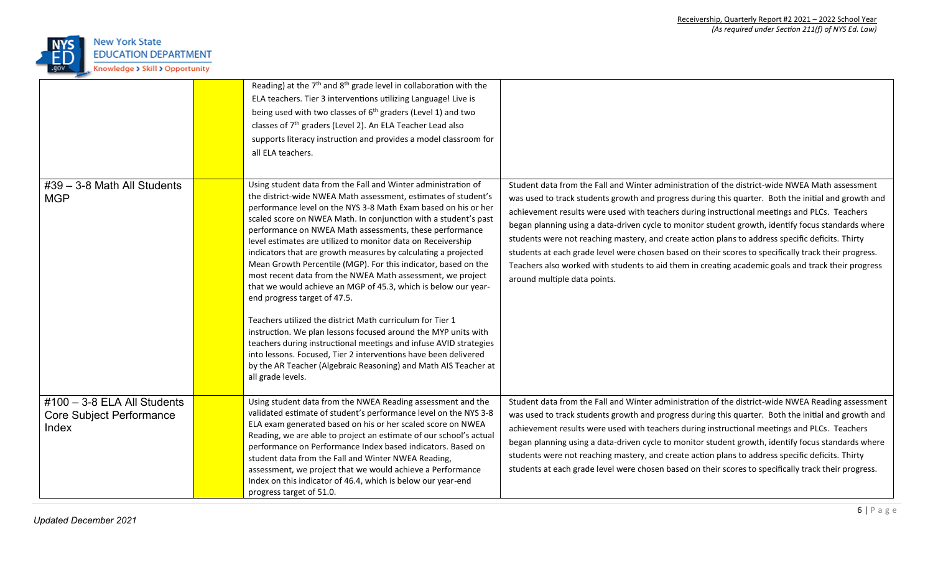

|                                                                            | Reading) at the $7th$ and $8th$ grade level in collaboration with the<br>ELA teachers. Tier 3 interventions utilizing Language! Live is<br>being used with two classes of $6th$ graders (Level 1) and two<br>classes of 7 <sup>th</sup> graders (Level 2). An ELA Teacher Lead also<br>supports literacy instruction and provides a model classroom for<br>all ELA teachers.                                                                                                                                                                                                                                                                                                                                                                                                                                                                                                                                                                                                                                                                                       |                                                                                                                                                                                                                                                                                                                                                                                                                                                                                                                                                                                                                                                                                                                                                               |
|----------------------------------------------------------------------------|--------------------------------------------------------------------------------------------------------------------------------------------------------------------------------------------------------------------------------------------------------------------------------------------------------------------------------------------------------------------------------------------------------------------------------------------------------------------------------------------------------------------------------------------------------------------------------------------------------------------------------------------------------------------------------------------------------------------------------------------------------------------------------------------------------------------------------------------------------------------------------------------------------------------------------------------------------------------------------------------------------------------------------------------------------------------|---------------------------------------------------------------------------------------------------------------------------------------------------------------------------------------------------------------------------------------------------------------------------------------------------------------------------------------------------------------------------------------------------------------------------------------------------------------------------------------------------------------------------------------------------------------------------------------------------------------------------------------------------------------------------------------------------------------------------------------------------------------|
| $\#39 - 3 - 8$ Math All Students<br><b>MGP</b>                             | Using student data from the Fall and Winter administration of<br>the district-wide NWEA Math assessment, estimates of student's<br>performance level on the NYS 3-8 Math Exam based on his or her<br>scaled score on NWEA Math. In conjunction with a student's past<br>performance on NWEA Math assessments, these performance<br>level estimates are utilized to monitor data on Receivership<br>indicators that are growth measures by calculating a projected<br>Mean Growth Percentile (MGP). For this indicator, based on the<br>most recent data from the NWEA Math assessment, we project<br>that we would achieve an MGP of 45.3, which is below our year-<br>end progress target of 47.5.<br>Teachers utilized the district Math curriculum for Tier 1<br>instruction. We plan lessons focused around the MYP units with<br>teachers during instructional meetings and infuse AVID strategies<br>into lessons. Focused, Tier 2 interventions have been delivered<br>by the AR Teacher (Algebraic Reasoning) and Math AIS Teacher at<br>all grade levels. | Student data from the Fall and Winter administration of the district-wide NWEA Math assessment<br>was used to track students growth and progress during this quarter. Both the initial and growth and<br>achievement results were used with teachers during instructional meetings and PLCs. Teachers<br>began planning using a data-driven cycle to monitor student growth, identify focus standards where<br>students were not reaching mastery, and create action plans to address specific deficits. Thirty<br>students at each grade level were chosen based on their scores to specifically track their progress.<br>Teachers also worked with students to aid them in creating academic goals and track their progress<br>around multiple data points. |
| $\#100 - 3-8$ ELA All Students<br><b>Core Subject Performance</b><br>Index | Using student data from the NWEA Reading assessment and the<br>validated estimate of student's performance level on the NYS 3-8<br>ELA exam generated based on his or her scaled score on NWEA<br>Reading, we are able to project an estimate of our school's actual<br>performance on Performance Index based indicators. Based on<br>student data from the Fall and Winter NWEA Reading,<br>assessment, we project that we would achieve a Performance<br>Index on this indicator of 46.4, which is below our year-end<br>progress target of 51.0.                                                                                                                                                                                                                                                                                                                                                                                                                                                                                                               | Student data from the Fall and Winter administration of the district-wide NWEA Reading assessment<br>was used to track students growth and progress during this quarter. Both the initial and growth and<br>achievement results were used with teachers during instructional meetings and PLCs. Teachers<br>began planning using a data-driven cycle to monitor student growth, identify focus standards where<br>students were not reaching mastery, and create action plans to address specific deficits. Thirty<br>students at each grade level were chosen based on their scores to specifically track their progress.                                                                                                                                    |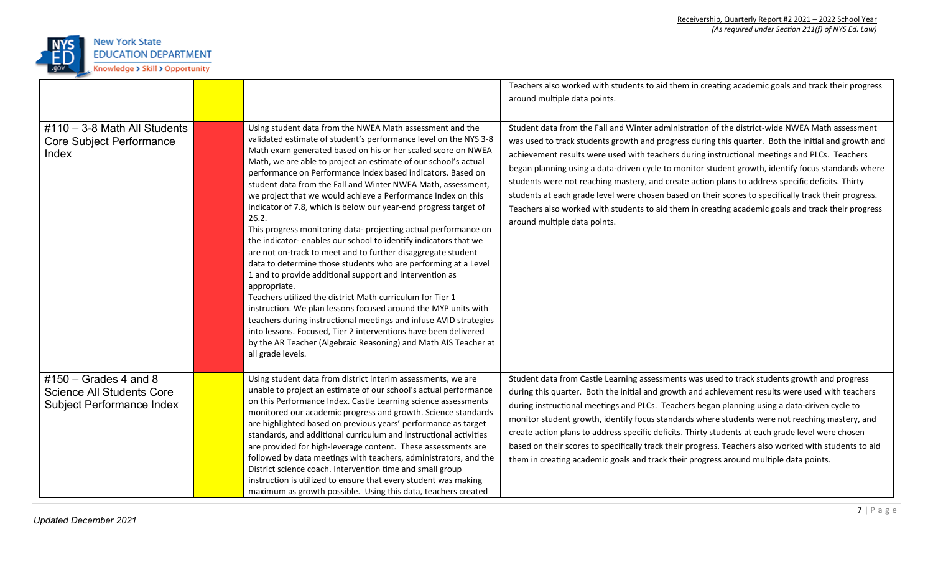

|                                                                                                  |                                                                                                                                                                                                                                                                                                                                                                                                                                                                                                                                                                                                                                                                                                                                                                                                                                                                                                                                                                                                                                                                                                                                                                                                                                                               | Teachers also worked with students to aid them in creating academic goals and track their progress<br>around multiple data points.                                                                                                                                                                                                                                                                                                                                                                                                                                                                                                                                                                                                                            |
|--------------------------------------------------------------------------------------------------|---------------------------------------------------------------------------------------------------------------------------------------------------------------------------------------------------------------------------------------------------------------------------------------------------------------------------------------------------------------------------------------------------------------------------------------------------------------------------------------------------------------------------------------------------------------------------------------------------------------------------------------------------------------------------------------------------------------------------------------------------------------------------------------------------------------------------------------------------------------------------------------------------------------------------------------------------------------------------------------------------------------------------------------------------------------------------------------------------------------------------------------------------------------------------------------------------------------------------------------------------------------|---------------------------------------------------------------------------------------------------------------------------------------------------------------------------------------------------------------------------------------------------------------------------------------------------------------------------------------------------------------------------------------------------------------------------------------------------------------------------------------------------------------------------------------------------------------------------------------------------------------------------------------------------------------------------------------------------------------------------------------------------------------|
| $#110 - 3-8$ Math All Students<br><b>Core Subject Performance</b><br>Index                       | Using student data from the NWEA Math assessment and the<br>validated estimate of student's performance level on the NYS 3-8<br>Math exam generated based on his or her scaled score on NWEA<br>Math, we are able to project an estimate of our school's actual<br>performance on Performance Index based indicators. Based on<br>student data from the Fall and Winter NWEA Math, assessment,<br>we project that we would achieve a Performance Index on this<br>indicator of 7.8, which is below our year-end progress target of<br>26.2.<br>This progress monitoring data- projecting actual performance on<br>the indicator-enables our school to identify indicators that we<br>are not on-track to meet and to further disaggregate student<br>data to determine those students who are performing at a Level<br>1 and to provide additional support and intervention as<br>appropriate.<br>Teachers utilized the district Math curriculum for Tier 1<br>instruction. We plan lessons focused around the MYP units with<br>teachers during instructional meetings and infuse AVID strategies<br>into lessons. Focused, Tier 2 interventions have been delivered<br>by the AR Teacher (Algebraic Reasoning) and Math AIS Teacher at<br>all grade levels. | Student data from the Fall and Winter administration of the district-wide NWEA Math assessment<br>was used to track students growth and progress during this quarter. Both the initial and growth and<br>achievement results were used with teachers during instructional meetings and PLCs. Teachers<br>began planning using a data-driven cycle to monitor student growth, identify focus standards where<br>students were not reaching mastery, and create action plans to address specific deficits. Thirty<br>students at each grade level were chosen based on their scores to specifically track their progress.<br>Teachers also worked with students to aid them in creating academic goals and track their progress<br>around multiple data points. |
| $\#150$ – Grades 4 and 8<br><b>Science All Students Core</b><br><b>Subject Performance Index</b> | Using student data from district interim assessments, we are<br>unable to project an estimate of our school's actual performance<br>on this Performance Index. Castle Learning science assessments<br>monitored our academic progress and growth. Science standards<br>are highlighted based on previous years' performance as target<br>standards, and additional curriculum and instructional activities<br>are provided for high-leverage content. These assessments are<br>followed by data meetings with teachers, administrators, and the<br>District science coach. Intervention time and small group<br>instruction is utilized to ensure that every student was making<br>maximum as growth possible. Using this data, teachers created                                                                                                                                                                                                                                                                                                                                                                                                                                                                                                              | Student data from Castle Learning assessments was used to track students growth and progress<br>during this quarter. Both the initial and growth and achievement results were used with teachers<br>during instructional meetings and PLCs. Teachers began planning using a data-driven cycle to<br>monitor student growth, identify focus standards where students were not reaching mastery, and<br>create action plans to address specific deficits. Thirty students at each grade level were chosen<br>based on their scores to specifically track their progress. Teachers also worked with students to aid<br>them in creating academic goals and track their progress around multiple data points.                                                     |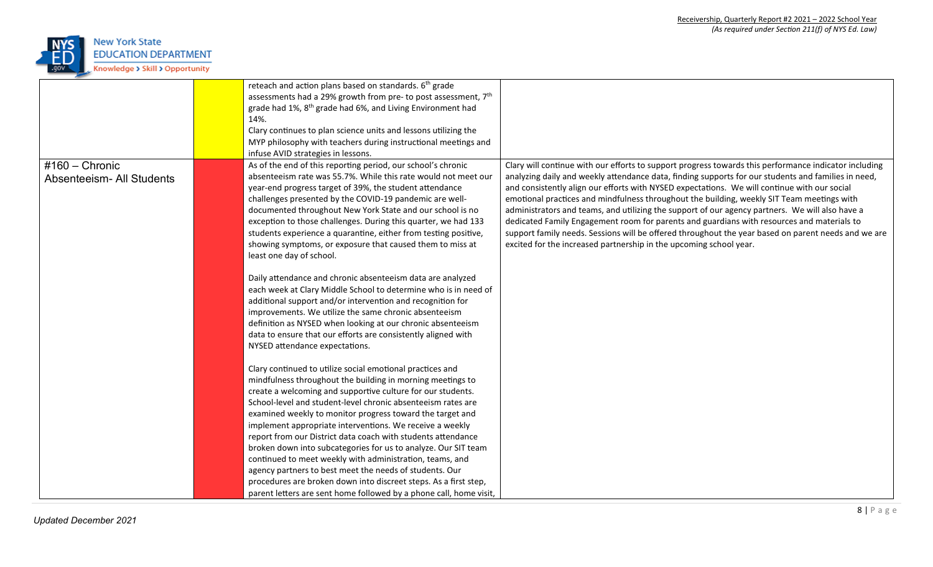

|                                  | reteach and action plans based on standards. 6 <sup>th</sup> grade         |                                                                                                       |
|----------------------------------|----------------------------------------------------------------------------|-------------------------------------------------------------------------------------------------------|
|                                  | assessments had a 29% growth from pre- to post assessment, 7 <sup>th</sup> |                                                                                                       |
|                                  | grade had 1%, 8 <sup>th</sup> grade had 6%, and Living Environment had     |                                                                                                       |
|                                  | 14%.                                                                       |                                                                                                       |
|                                  | Clary continues to plan science units and lessons utilizing the            |                                                                                                       |
|                                  | MYP philosophy with teachers during instructional meetings and             |                                                                                                       |
|                                  | infuse AVID strategies in lessons.                                         |                                                                                                       |
| $#160 -$ Chronic                 | As of the end of this reporting period, our school's chronic               | Clary will continue with our efforts to support progress towards this performance indicator including |
| <b>Absenteeism- All Students</b> | absenteeism rate was 55.7%. While this rate would not meet our             | analyzing daily and weekly attendance data, finding supports for our students and families in need,   |
|                                  | year-end progress target of 39%, the student attendance                    | and consistently align our efforts with NYSED expectations. We will continue with our social          |
|                                  | challenges presented by the COVID-19 pandemic are well-                    | emotional practices and mindfulness throughout the building, weekly SIT Team meetings with            |
|                                  | documented throughout New York State and our school is no                  | administrators and teams, and utilizing the support of our agency partners. We will also have a       |
|                                  | exception to those challenges. During this quarter, we had 133             | dedicated Family Engagement room for parents and guardians with resources and materials to            |
|                                  | students experience a quarantine, either from testing positive,            | support family needs. Sessions will be offered throughout the year based on parent needs and we are   |
|                                  | showing symptoms, or exposure that caused them to miss at                  | excited for the increased partnership in the upcoming school year.                                    |
|                                  | least one day of school.                                                   |                                                                                                       |
|                                  | Daily attendance and chronic absenteeism data are analyzed                 |                                                                                                       |
|                                  | each week at Clary Middle School to determine who is in need of            |                                                                                                       |
|                                  | additional support and/or intervention and recognition for                 |                                                                                                       |
|                                  | improvements. We utilize the same chronic absenteeism                      |                                                                                                       |
|                                  | definition as NYSED when looking at our chronic absenteeism                |                                                                                                       |
|                                  | data to ensure that our efforts are consistently aligned with              |                                                                                                       |
|                                  | NYSED attendance expectations.                                             |                                                                                                       |
|                                  | Clary continued to utilize social emotional practices and                  |                                                                                                       |
|                                  | mindfulness throughout the building in morning meetings to                 |                                                                                                       |
|                                  | create a welcoming and supportive culture for our students.                |                                                                                                       |
|                                  | School-level and student-level chronic absenteeism rates are               |                                                                                                       |
|                                  | examined weekly to monitor progress toward the target and                  |                                                                                                       |
|                                  | implement appropriate interventions. We receive a weekly                   |                                                                                                       |
|                                  | report from our District data coach with students attendance               |                                                                                                       |
|                                  | broken down into subcategories for us to analyze. Our SIT team             |                                                                                                       |
|                                  | continued to meet weekly with administration, teams, and                   |                                                                                                       |
|                                  | agency partners to best meet the needs of students. Our                    |                                                                                                       |
|                                  | procedures are broken down into discreet steps. As a first step,           |                                                                                                       |
|                                  | parent letters are sent home followed by a phone call, home visit,         |                                                                                                       |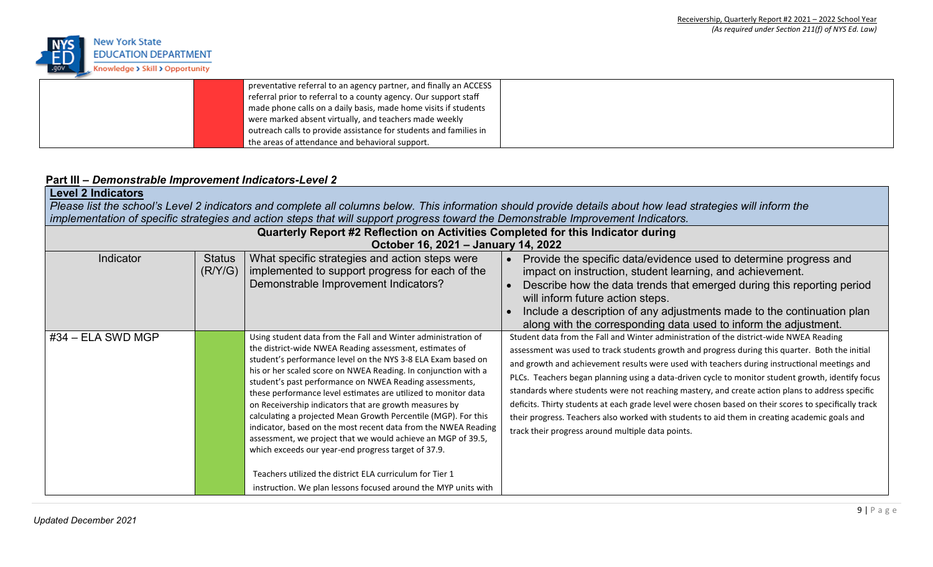

|  | preventative referral to an agency partner, and finally an ACCESS |  |
|--|-------------------------------------------------------------------|--|
|  | referral prior to referral to a county agency. Our support staff  |  |
|  | made phone calls on a daily basis, made home visits if students   |  |
|  | were marked absent virtually, and teachers made weekly            |  |
|  | outreach calls to provide assistance for students and families in |  |
|  | the areas of attendance and behavioral support.                   |  |

### **Part III –** *Demonstrable Improvement Indicators-Level 2*

| <b>Level 2 Indicators</b> |                          | implementation of specific strategies and action steps that will support progress toward the Demonstrable Improvement Indicators.                                                                                                                                                                                                                                                                                                                                                                                                                                                                                                                                                                                                                                                                                                          | Please list the school's Level 2 indicators and complete all columns below. This information should provide details about how lead strategies will inform the                                                                                                                                                                                                                                                                                                                                                                                                                                                                                                                                                                                                                                                                        |
|---------------------------|--------------------------|--------------------------------------------------------------------------------------------------------------------------------------------------------------------------------------------------------------------------------------------------------------------------------------------------------------------------------------------------------------------------------------------------------------------------------------------------------------------------------------------------------------------------------------------------------------------------------------------------------------------------------------------------------------------------------------------------------------------------------------------------------------------------------------------------------------------------------------------|--------------------------------------------------------------------------------------------------------------------------------------------------------------------------------------------------------------------------------------------------------------------------------------------------------------------------------------------------------------------------------------------------------------------------------------------------------------------------------------------------------------------------------------------------------------------------------------------------------------------------------------------------------------------------------------------------------------------------------------------------------------------------------------------------------------------------------------|
|                           |                          | Quarterly Report #2 Reflection on Activities Completed for this Indicator during<br>October 16, 2021 - January 14, 2022                                                                                                                                                                                                                                                                                                                                                                                                                                                                                                                                                                                                                                                                                                                    |                                                                                                                                                                                                                                                                                                                                                                                                                                                                                                                                                                                                                                                                                                                                                                                                                                      |
| Indicator                 | <b>Status</b><br>(R/Y/G) | What specific strategies and action steps were<br>implemented to support progress for each of the<br>Demonstrable Improvement Indicators?                                                                                                                                                                                                                                                                                                                                                                                                                                                                                                                                                                                                                                                                                                  | Provide the specific data/evidence used to determine progress and<br>impact on instruction, student learning, and achievement.<br>Describe how the data trends that emerged during this reporting period<br>will inform future action steps.<br>Include a description of any adjustments made to the continuation plan                                                                                                                                                                                                                                                                                                                                                                                                                                                                                                               |
| $#34$ – ELA SWD MGP       |                          | Using student data from the Fall and Winter administration of<br>the district-wide NWEA Reading assessment, estimates of<br>student's performance level on the NYS 3-8 ELA Exam based on<br>his or her scaled score on NWEA Reading. In conjunction with a<br>student's past performance on NWEA Reading assessments,<br>these performance level estimates are utilized to monitor data<br>on Receivership indicators that are growth measures by<br>calculating a projected Mean Growth Percentile (MGP). For this<br>indicator, based on the most recent data from the NWEA Reading<br>assessment, we project that we would achieve an MGP of 39.5,<br>which exceeds our year-end progress target of 37.9.<br>Teachers utilized the district ELA curriculum for Tier 1<br>instruction. We plan lessons focused around the MYP units with | along with the corresponding data used to inform the adjustment.<br>Student data from the Fall and Winter administration of the district-wide NWEA Reading<br>assessment was used to track students growth and progress during this quarter. Both the initial<br>and growth and achievement results were used with teachers during instructional meetings and<br>PLCs. Teachers began planning using a data-driven cycle to monitor student growth, identify focus<br>standards where students were not reaching mastery, and create action plans to address specific<br>deficits. Thirty students at each grade level were chosen based on their scores to specifically track<br>their progress. Teachers also worked with students to aid them in creating academic goals and<br>track their progress around multiple data points. |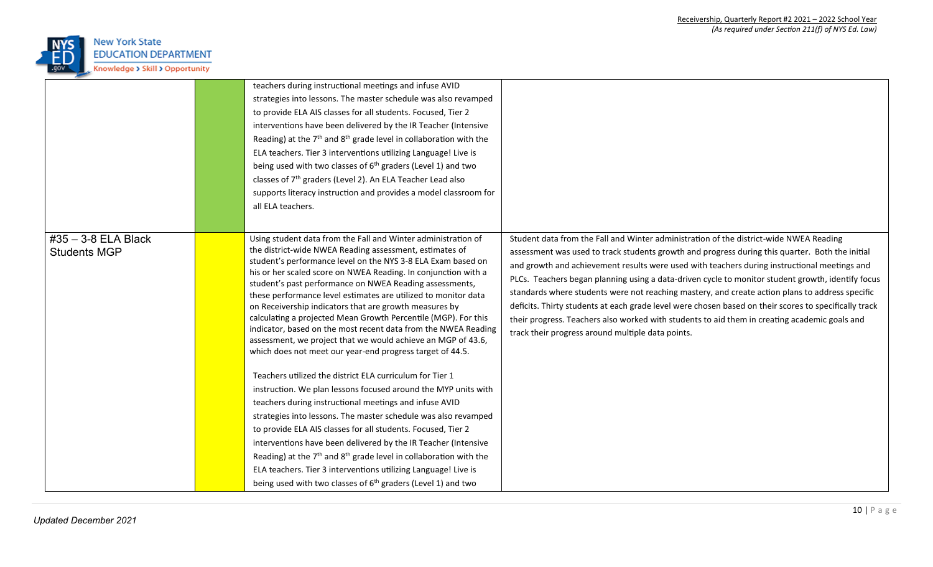

|                                            | teachers during instructional meetings and infuse AVID<br>strategies into lessons. The master schedule was also revamped<br>to provide ELA AIS classes for all students. Focused, Tier 2<br>interventions have been delivered by the IR Teacher (Intensive<br>Reading) at the $7th$ and $8th$ grade level in collaboration with the<br>ELA teachers. Tier 3 interventions utilizing Language! Live is<br>being used with two classes of $6th$ graders (Level 1) and two<br>classes of 7 <sup>th</sup> graders (Level 2). An ELA Teacher Lead also<br>supports literacy instruction and provides a model classroom for<br>all ELA teachers.                                                                                                                                                                                                       |                                                                                                                                                                                                                                                                                                                                                                                                                                                                                                                                                                                                                                                                                                                                                                  |
|--------------------------------------------|--------------------------------------------------------------------------------------------------------------------------------------------------------------------------------------------------------------------------------------------------------------------------------------------------------------------------------------------------------------------------------------------------------------------------------------------------------------------------------------------------------------------------------------------------------------------------------------------------------------------------------------------------------------------------------------------------------------------------------------------------------------------------------------------------------------------------------------------------|------------------------------------------------------------------------------------------------------------------------------------------------------------------------------------------------------------------------------------------------------------------------------------------------------------------------------------------------------------------------------------------------------------------------------------------------------------------------------------------------------------------------------------------------------------------------------------------------------------------------------------------------------------------------------------------------------------------------------------------------------------------|
| #35 - 3-8 ELA Black<br><b>Students MGP</b> | Using student data from the Fall and Winter administration of<br>the district-wide NWEA Reading assessment, estimates of<br>student's performance level on the NYS 3-8 ELA Exam based on<br>his or her scaled score on NWEA Reading. In conjunction with a<br>student's past performance on NWEA Reading assessments,<br>these performance level estimates are utilized to monitor data<br>on Receivership indicators that are growth measures by<br>calculating a projected Mean Growth Percentile (MGP). For this<br>indicator, based on the most recent data from the NWEA Reading<br>assessment, we project that we would achieve an MGP of 43.6,<br>which does not meet our year-end progress target of 44.5.<br>Teachers utilized the district ELA curriculum for Tier 1<br>instruction. We plan lessons focused around the MYP units with | Student data from the Fall and Winter administration of the district-wide NWEA Reading<br>assessment was used to track students growth and progress during this quarter. Both the initial<br>and growth and achievement results were used with teachers during instructional meetings and<br>PLCs. Teachers began planning using a data-driven cycle to monitor student growth, identify focus<br>standards where students were not reaching mastery, and create action plans to address specific<br>deficits. Thirty students at each grade level were chosen based on their scores to specifically track<br>their progress. Teachers also worked with students to aid them in creating academic goals and<br>track their progress around multiple data points. |
|                                            | teachers during instructional meetings and infuse AVID<br>strategies into lessons. The master schedule was also revamped<br>to provide ELA AIS classes for all students. Focused, Tier 2<br>interventions have been delivered by the IR Teacher (Intensive<br>Reading) at the 7 <sup>th</sup> and 8 <sup>th</sup> grade level in collaboration with the<br>ELA teachers. Tier 3 interventions utilizing Language! Live is<br>being used with two classes of $6th$ graders (Level 1) and two                                                                                                                                                                                                                                                                                                                                                      |                                                                                                                                                                                                                                                                                                                                                                                                                                                                                                                                                                                                                                                                                                                                                                  |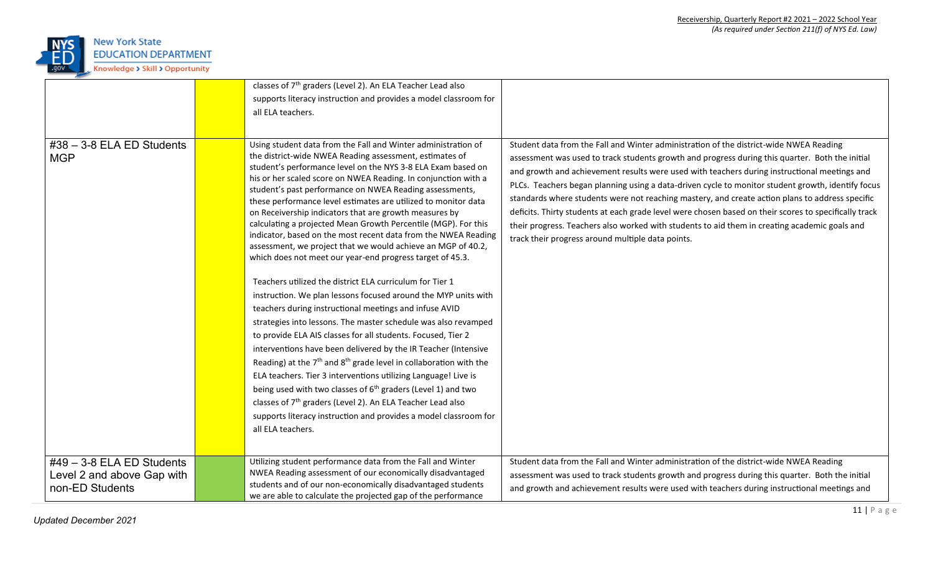

|                                                                              | classes of 7 <sup>th</sup> graders (Level 2). An ELA Teacher Lead also<br>supports literacy instruction and provides a model classroom for<br>all ELA teachers.                                                                                                                                                                                                                                                                                                                                                                                                                                                                                                                                                                                                                                                                                                                                                                                                                                                                                                                                                                                                                                                                                                                                                                                                                                                                                                                                          |                                                                                                                                                                                                                                                                                                                                                                                                                                                                                                                                                                                                                                                                                                                                                                  |
|------------------------------------------------------------------------------|----------------------------------------------------------------------------------------------------------------------------------------------------------------------------------------------------------------------------------------------------------------------------------------------------------------------------------------------------------------------------------------------------------------------------------------------------------------------------------------------------------------------------------------------------------------------------------------------------------------------------------------------------------------------------------------------------------------------------------------------------------------------------------------------------------------------------------------------------------------------------------------------------------------------------------------------------------------------------------------------------------------------------------------------------------------------------------------------------------------------------------------------------------------------------------------------------------------------------------------------------------------------------------------------------------------------------------------------------------------------------------------------------------------------------------------------------------------------------------------------------------|------------------------------------------------------------------------------------------------------------------------------------------------------------------------------------------------------------------------------------------------------------------------------------------------------------------------------------------------------------------------------------------------------------------------------------------------------------------------------------------------------------------------------------------------------------------------------------------------------------------------------------------------------------------------------------------------------------------------------------------------------------------|
| $#38 - 3-8$ ELA ED Students<br><b>MGP</b>                                    | Using student data from the Fall and Winter administration of<br>the district-wide NWEA Reading assessment, estimates of<br>student's performance level on the NYS 3-8 ELA Exam based on<br>his or her scaled score on NWEA Reading. In conjunction with a<br>student's past performance on NWEA Reading assessments,<br>these performance level estimates are utilized to monitor data<br>on Receivership indicators that are growth measures by<br>calculating a projected Mean Growth Percentile (MGP). For this<br>indicator, based on the most recent data from the NWEA Reading<br>assessment, we project that we would achieve an MGP of 40.2,<br>which does not meet our year-end progress target of 45.3.<br>Teachers utilized the district ELA curriculum for Tier 1<br>instruction. We plan lessons focused around the MYP units with<br>teachers during instructional meetings and infuse AVID<br>strategies into lessons. The master schedule was also revamped<br>to provide ELA AIS classes for all students. Focused, Tier 2<br>interventions have been delivered by the IR Teacher (Intensive<br>Reading) at the $7th$ and $8th$ grade level in collaboration with the<br>ELA teachers. Tier 3 interventions utilizing Language! Live is<br>being used with two classes of 6 <sup>th</sup> graders (Level 1) and two<br>classes of 7 <sup>th</sup> graders (Level 2). An ELA Teacher Lead also<br>supports literacy instruction and provides a model classroom for<br>all ELA teachers. | Student data from the Fall and Winter administration of the district-wide NWEA Reading<br>assessment was used to track students growth and progress during this quarter. Both the initial<br>and growth and achievement results were used with teachers during instructional meetings and<br>PLCs. Teachers began planning using a data-driven cycle to monitor student growth, identify focus<br>standards where students were not reaching mastery, and create action plans to address specific<br>deficits. Thirty students at each grade level were chosen based on their scores to specifically track<br>their progress. Teachers also worked with students to aid them in creating academic goals and<br>track their progress around multiple data points. |
| $#49 - 3-8$ ELA ED Students<br>Level 2 and above Gap with<br>non-ED Students | Utilizing student performance data from the Fall and Winter<br>NWEA Reading assessment of our economically disadvantaged<br>students and of our non-economically disadvantaged students<br>we are able to calculate the projected gap of the performance                                                                                                                                                                                                                                                                                                                                                                                                                                                                                                                                                                                                                                                                                                                                                                                                                                                                                                                                                                                                                                                                                                                                                                                                                                                 | Student data from the Fall and Winter administration of the district-wide NWEA Reading<br>assessment was used to track students growth and progress during this quarter. Both the initial<br>and growth and achievement results were used with teachers during instructional meetings and                                                                                                                                                                                                                                                                                                                                                                                                                                                                        |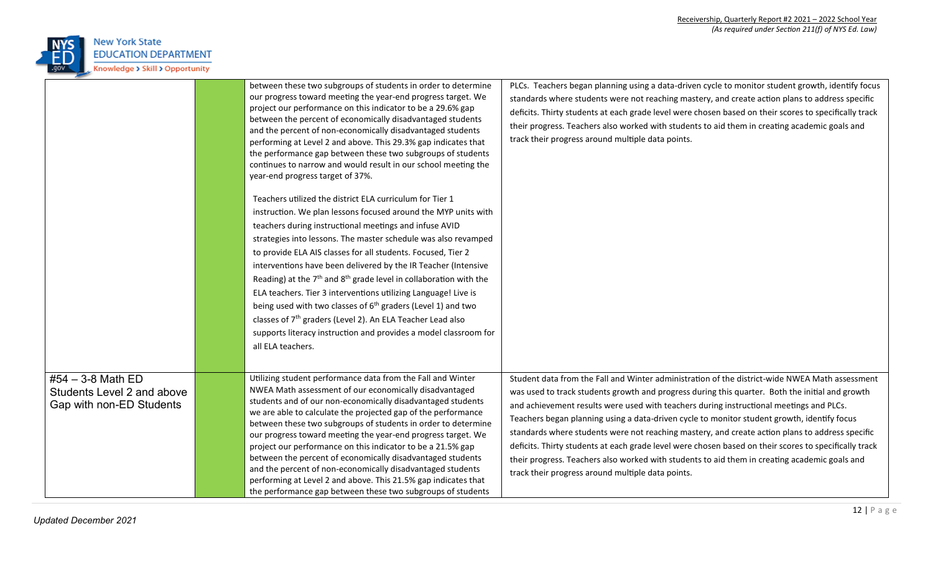

|                                                                             | between these two subgroups of students in order to determine<br>our progress toward meeting the year-end progress target. We<br>project our performance on this indicator to be a 29.6% gap<br>between the percent of economically disadvantaged students<br>and the percent of non-economically disadvantaged students<br>performing at Level 2 and above. This 29.3% gap indicates that<br>the performance gap between these two subgroups of students<br>continues to narrow and would result in our school meeting the<br>year-end progress target of 37%.<br>Teachers utilized the district ELA curriculum for Tier 1<br>instruction. We plan lessons focused around the MYP units with<br>teachers during instructional meetings and infuse AVID<br>strategies into lessons. The master schedule was also revamped<br>to provide ELA AIS classes for all students. Focused, Tier 2<br>interventions have been delivered by the IR Teacher (Intensive<br>Reading) at the $7th$ and $8th$ grade level in collaboration with the<br>ELA teachers. Tier 3 interventions utilizing Language! Live is<br>being used with two classes of $6th$ graders (Level 1) and two<br>classes of 7 <sup>th</sup> graders (Level 2). An ELA Teacher Lead also<br>supports literacy instruction and provides a model classroom for<br>all ELA teachers. | PLCs. Teachers began planning using a data-driven cycle to monitor student growth, identify focus<br>standards where students were not reaching mastery, and create action plans to address specific<br>deficits. Thirty students at each grade level were chosen based on their scores to specifically track<br>their progress. Teachers also worked with students to aid them in creating academic goals and<br>track their progress around multiple data points.                                                                                                                                                                                                                                                                                           |
|-----------------------------------------------------------------------------|---------------------------------------------------------------------------------------------------------------------------------------------------------------------------------------------------------------------------------------------------------------------------------------------------------------------------------------------------------------------------------------------------------------------------------------------------------------------------------------------------------------------------------------------------------------------------------------------------------------------------------------------------------------------------------------------------------------------------------------------------------------------------------------------------------------------------------------------------------------------------------------------------------------------------------------------------------------------------------------------------------------------------------------------------------------------------------------------------------------------------------------------------------------------------------------------------------------------------------------------------------------------------------------------------------------------------------------------|---------------------------------------------------------------------------------------------------------------------------------------------------------------------------------------------------------------------------------------------------------------------------------------------------------------------------------------------------------------------------------------------------------------------------------------------------------------------------------------------------------------------------------------------------------------------------------------------------------------------------------------------------------------------------------------------------------------------------------------------------------------|
| #54 - 3-8 Math ED<br>Students Level 2 and above<br>Gap with non-ED Students | Utilizing student performance data from the Fall and Winter<br>NWEA Math assessment of our economically disadvantaged<br>students and of our non-economically disadvantaged students<br>we are able to calculate the projected gap of the performance<br>between these two subgroups of students in order to determine<br>our progress toward meeting the year-end progress target. We<br>project our performance on this indicator to be a 21.5% gap<br>between the percent of economically disadvantaged students<br>and the percent of non-economically disadvantaged students<br>performing at Level 2 and above. This 21.5% gap indicates that<br>the performance gap between these two subgroups of students                                                                                                                                                                                                                                                                                                                                                                                                                                                                                                                                                                                                                          | Student data from the Fall and Winter administration of the district-wide NWEA Math assessment<br>was used to track students growth and progress during this quarter. Both the initial and growth<br>and achievement results were used with teachers during instructional meetings and PLCs.<br>Teachers began planning using a data-driven cycle to monitor student growth, identify focus<br>standards where students were not reaching mastery, and create action plans to address specific<br>deficits. Thirty students at each grade level were chosen based on their scores to specifically track<br>their progress. Teachers also worked with students to aid them in creating academic goals and<br>track their progress around multiple data points. |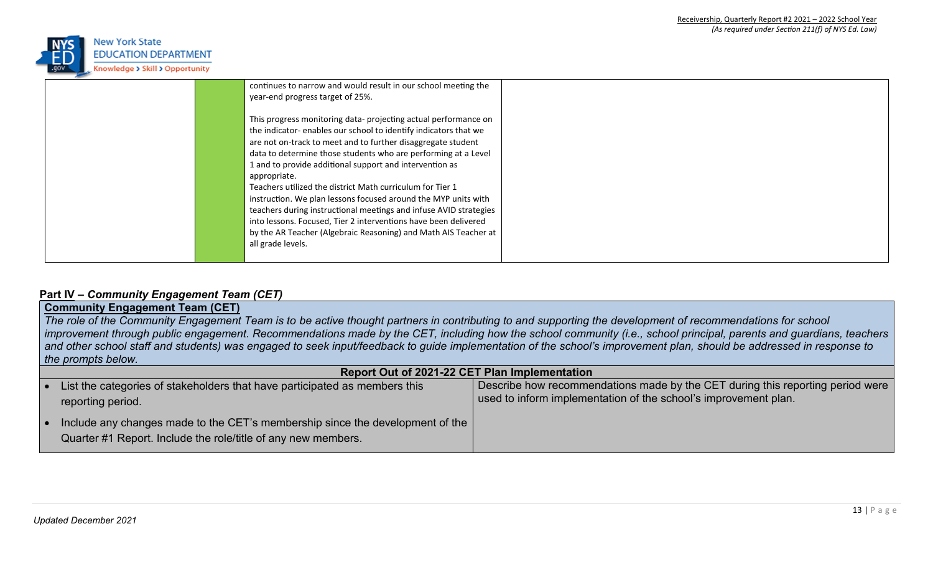

| continues to narrow and would result in our school meeting the    |  |
|-------------------------------------------------------------------|--|
| year-end progress target of 25%.                                  |  |
|                                                                   |  |
| This progress monitoring data- projecting actual performance on   |  |
| the indicator-enables our school to identify indicators that we   |  |
| are not on-track to meet and to further disaggregate student      |  |
| data to determine those students who are performing at a Level    |  |
| 1 and to provide additional support and intervention as           |  |
| appropriate.                                                      |  |
| Teachers utilized the district Math curriculum for Tier 1         |  |
| instruction. We plan lessons focused around the MYP units with    |  |
| teachers during instructional meetings and infuse AVID strategies |  |
| into lessons. Focused, Tier 2 interventions have been delivered   |  |
| by the AR Teacher (Algebraic Reasoning) and Math AIS Teacher at   |  |
| all grade levels.                                                 |  |
|                                                                   |  |
|                                                                   |  |

### **Part IV –** *Community Engagement Team (CET)*

# **Community Engagement Team (CET)**

The role of the Community Engagement Team is to be active thought partners in contributing to and supporting the development of *recommendations* for school improvement through public engagement. Recommendations made by the CET, including how the school community (i.e., school principal, parents and guardians, teachers and other school staff and students) was engaged to seek input/feedback to guide implementation of the school's improvement plan, should be addressed in response to *the prompts below.*

| <b>Report Out of 2021-22 CET Plan Implementation</b>                                                                                           |                                                                                                                                                   |  |  |  |
|------------------------------------------------------------------------------------------------------------------------------------------------|---------------------------------------------------------------------------------------------------------------------------------------------------|--|--|--|
| List the categories of stakeholders that have participated as members this<br>reporting period.                                                | Describe how recommendations made by the CET during this reporting period were<br>used to inform implementation of the school's improvement plan. |  |  |  |
| Include any changes made to the CET's membership since the development of the<br>Quarter #1 Report. Include the role/title of any new members. |                                                                                                                                                   |  |  |  |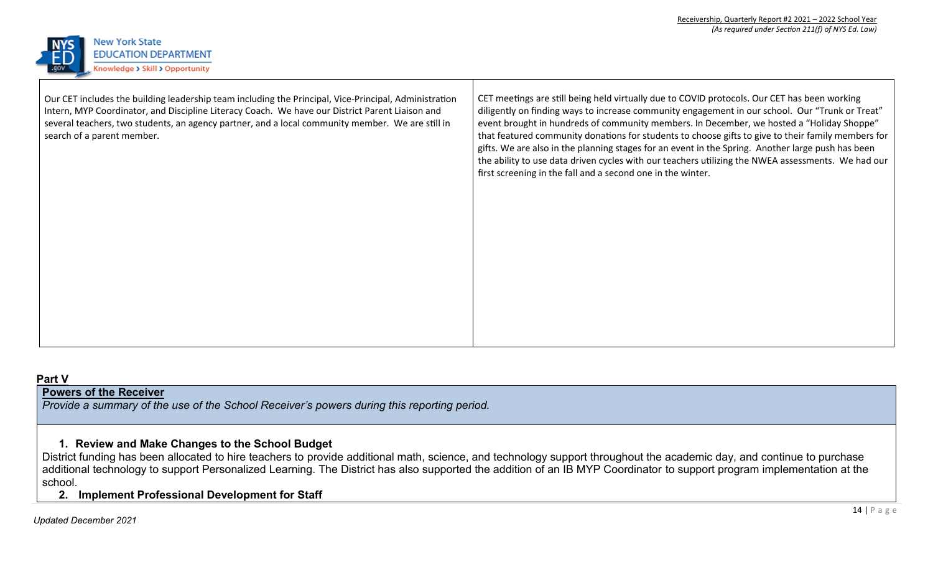

| Our CET includes the building leadership team including the Principal, Vice-Principal, Administration<br>Intern, MYP Coordinator, and Discipline Literacy Coach. We have our District Parent Liaison and<br>several teachers, two students, an agency partner, and a local community member. We are still in<br>search of a parent member. | CET meetings are still being held virtually due to COVID protocols. Our CET has been working<br>diligently on finding ways to increase community engagement in our school. Our "Trunk or Treat"<br>event brought in hundreds of community members. In December, we hosted a "Holiday Shoppe"<br>that featured community donations for students to choose gifts to give to their family members for<br>gifts. We are also in the planning stages for an event in the Spring. Another large push has been<br>the ability to use data driven cycles with our teachers utilizing the NWEA assessments. We had our<br>first screening in the fall and a second one in the winter. |
|--------------------------------------------------------------------------------------------------------------------------------------------------------------------------------------------------------------------------------------------------------------------------------------------------------------------------------------------|------------------------------------------------------------------------------------------------------------------------------------------------------------------------------------------------------------------------------------------------------------------------------------------------------------------------------------------------------------------------------------------------------------------------------------------------------------------------------------------------------------------------------------------------------------------------------------------------------------------------------------------------------------------------------|
|                                                                                                                                                                                                                                                                                                                                            |                                                                                                                                                                                                                                                                                                                                                                                                                                                                                                                                                                                                                                                                              |

#### **Part V**

## **Powers of the Receiver**

*Provide a summary of the use of the School Receiver's powers during this reporting period.*

### **1. Review and Make Changes to the School Budget**

District funding has been allocated to hire teachers to provide additional math, science, and technology support throughout the academic day, and continue to purchase additional technology to support Personalized Learning. The District has also supported the addition of an IB MYP Coordinator to support program implementation at the school.

**2. Implement Professional Development for Staff**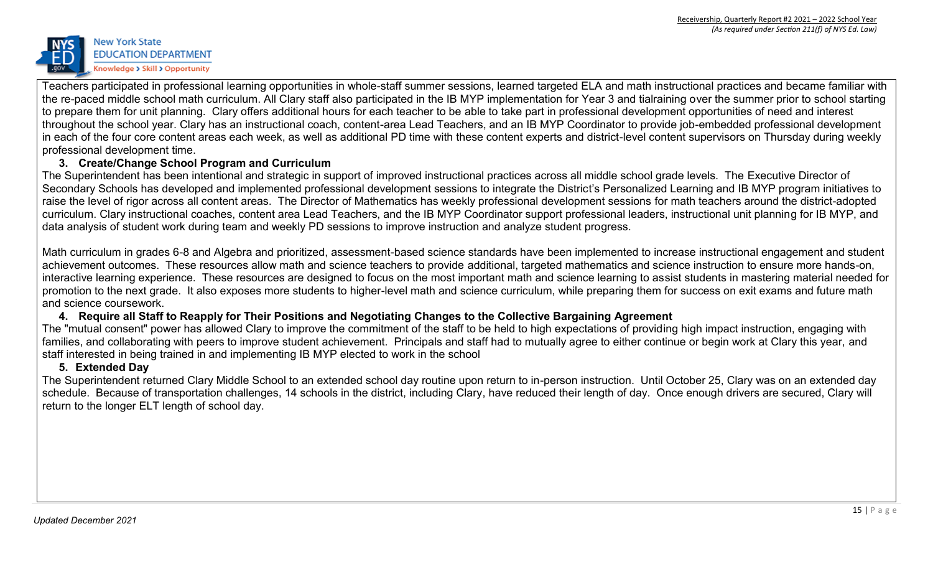

Teachers participated in professional learning opportunities in whole-staff summer sessions, learned targeted ELA and math instructional practices and became familiar with the re-paced middle school math curriculum. All Clary staff also participated in the IB MYP implementation for Year 3 and tialraining over the summer prior to school starting to prepare them for unit planning. Clary offers additional hours for each teacher to be able to take part in professional development opportunities of need and interest throughout the school year. Clary has an instructional coach, content-area Lead Teachers, and an IB MYP Coordinator to provide job-embedded professional development in each of the four core content areas each week, as well as additional PD time with these content experts and district-level content supervisors on Thursday during weekly professional development time.

## **3. Create/Change School Program and Curriculum**

The Superintendent has been intentional and strategic in support of improved instructional practices across all middle school grade levels. The Executive Director of Secondary Schools has developed and implemented professional development sessions to integrate the District's Personalized Learning and IB MYP program initiatives to raise the level of rigor across all content areas. The Director of Mathematics has weekly professional development sessions for math teachers around the district-adopted curriculum. Clary instructional coaches, content area Lead Teachers, and the IB MYP Coordinator support professional leaders, instructional unit planning for IB MYP, and data analysis of student work during team and weekly PD sessions to improve instruction and analyze student progress.

Math curriculum in grades 6-8 and Algebra and prioritized, assessment-based science standards have been implemented to increase instructional engagement and student achievement outcomes. These resources allow math and science teachers to provide additional, targeted mathematics and science instruction to ensure more hands-on, interactive learning experience. These resources are designed to focus on the most important math and science learning to assist students in mastering material needed for promotion to the next grade. It also exposes more students to higher-level math and science curriculum, while preparing them for success on exit exams and future math and science coursework.

### **4. Require all Staff to Reapply for Their Positions and Negotiating Changes to the Collective Bargaining Agreement**

The "mutual consent" power has allowed Clary to improve the commitment of the staff to be held to high expectations of providing high impact instruction, engaging with families, and collaborating with peers to improve student achievement. Principals and staff had to mutually agree to either continue or begin work at Clary this year, and staff interested in being trained in and implementing IB MYP elected to work in the school

#### **5. Extended Day**

The Superintendent returned Clary Middle School to an extended school day routine upon return to in-person instruction. Until October 25, Clary was on an extended day schedule. Because of transportation challenges, 14 schools in the district, including Clary, have reduced their length of day. Once enough drivers are secured, Clary will return to the longer ELT length of school day.